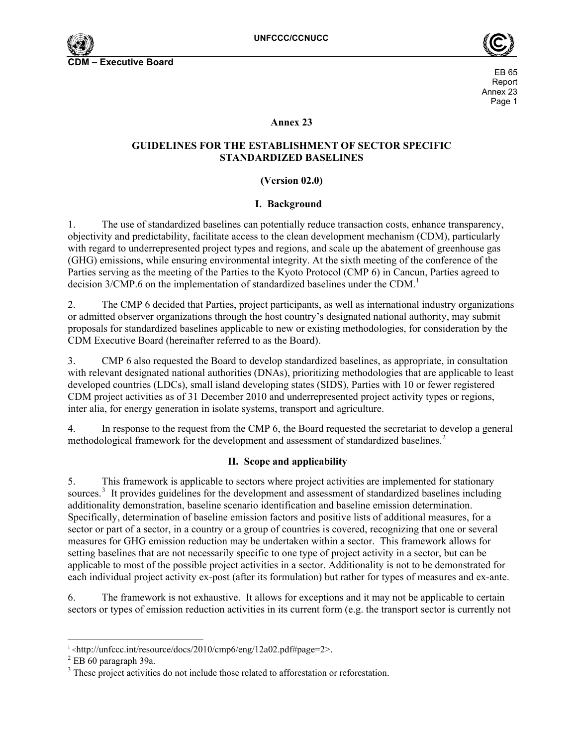



### **Annex 23**

### **GUIDELINES FOR THE ESTABLISHMENT OF SECTOR SPECIFIC STANDARDIZED BASELINES**

### **(Version 02.0)**

### **I. Background**

1. The use of standardized baselines can potentially reduce transaction costs, enhance transparency, objectivity and predictability, facilitate access to the clean development mechanism (CDM), particularly with regard to underrepresented project types and regions, and scale up the abatement of greenhouse gas (GHG) emissions, while ensuring environmental integrity. At the sixth meeting of the conference of the Parties serving as the meeting of the Parties to the Kyoto Protocol (CMP 6) in Cancun, Parties agreed to decision 3/CMP.6 on the implementation of standardized baselines under the CDM.<sup>[1](#page-0-0)</sup>

2. The CMP 6 decided that Parties, project participants, as well as international industry organizations or admitted observer organizations through the host countryís designated national authority, may submit proposals for standardized baselines applicable to new or existing methodologies, for consideration by the CDM Executive Board (hereinafter referred to as the Board).

3. CMP 6 also requested the Board to develop standardized baselines, as appropriate, in consultation with relevant designated national authorities (DNAs), prioritizing methodologies that are applicable to least developed countries (LDCs), small island developing states (SIDS), Parties with 10 or fewer registered CDM project activities as of 31 December 2010 and underrepresented project activity types or regions, inter alia, for energy generation in isolate systems, transport and agriculture.

4. In response to the request from the CMP 6, the Board requested the secretariat to develop a general methodological framework for the development and assessment of standardized baselines.<sup>[2](#page-0-1)</sup>

## **II. Scope and applicability**

5. This framework is applicable to sectors where project activities are implemented for stationary sources.<sup>[3](#page-0-2)</sup> It provides guidelines for the development and assessment of standardized baselines including additionality demonstration, baseline scenario identification and baseline emission determination. Specifically, determination of baseline emission factors and positive lists of additional measures, for a sector or part of a sector, in a country or a group of countries is covered, recognizing that one or several measures for GHG emission reduction may be undertaken within a sector. This framework allows for setting baselines that are not necessarily specific to one type of project activity in a sector, but can be applicable to most of the possible project activities in a sector. Additionality is not to be demonstrated for each individual project activity ex-post (after its formulation) but rather for types of measures and ex-ante.

6. The framework is not exhaustive. It allows for exceptions and it may not be applicable to certain sectors or types of emission reduction activities in its current form (e.g. the transport sector is currently not

l

 $\frac{1}{2}$  <http://unfccc.int/resource/docs/2010/cmp6/eng/12a02.pdf#page=2>.

<span id="page-0-1"></span><span id="page-0-0"></span> $2$  EB 60 paragraph 39a.

<span id="page-0-2"></span><sup>&</sup>lt;sup>3</sup> These project activities do not include those related to afforestation or reforestation.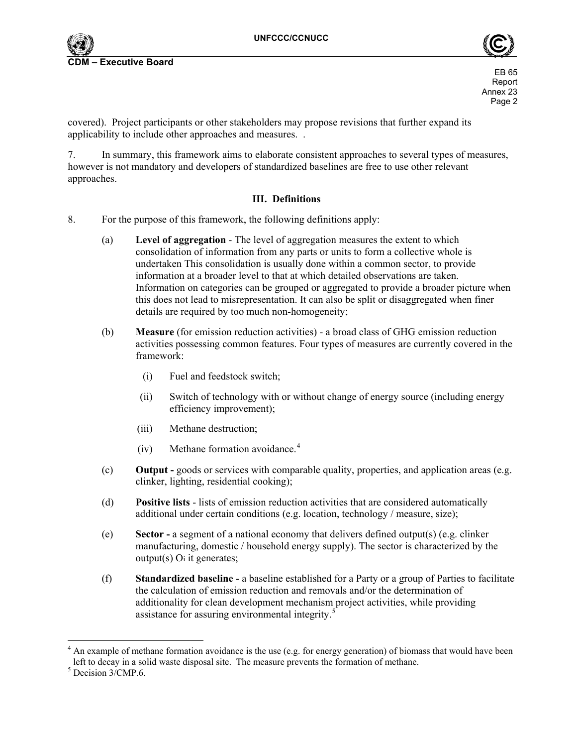



covered). Project participants or other stakeholders may propose revisions that further expand its applicability to include other approaches and measures. .

7. In summary, this framework aims to elaborate consistent approaches to several types of measures, however is not mandatory and developers of standardized baselines are free to use other relevant approaches.

### **III. Definitions**

- 8. For the purpose of this framework, the following definitions apply:
	- (a) **Level of aggregation** The level of aggregation measures the extent to which consolidation of information from any parts or units to form a collective whole is undertaken This consolidation is usually done within a common sector, to provide information at a broader level to that at which detailed observations are taken. Information on categories can be grouped or aggregated to provide a broader picture when this does not lead to misrepresentation. It can also be split or disaggregated when finer details are required by too much non-homogeneity;
	- (b) **Measure** (for emission reduction activities) a broad class of GHG emission reduction activities possessing common features. Four types of measures are currently covered in the framework:
		- (i) Fuel and feedstock switch;
		- (ii) Switch of technology with or without change of energy source (including energy efficiency improvement);
		- (iii) Methane destruction;
		- (iv) Methane formation avoidance.[4](#page-1-0)
	- (c) **Output -** goods or services with comparable quality, properties, and application areas (e.g. clinker, lighting, residential cooking);
	- (d) **Positive lists** lists of emission reduction activities that are considered automatically additional under certain conditions (e.g. location, technology / measure, size);
	- (e) **Sector** a segment of a national economy that delivers defined output(s) (e.g. clinker manufacturing, domestic / household energy supply). The sector is characterized by the output(s) Oi it generates;
	- (f) **Standardized baseline** a baseline established for a Party or a group of Parties to facilitate the calculation of emission reduction and removals and/or the determination of additionality for clean development mechanism project activities, while providing assistance for assuring environmental integrity.<sup>[5](#page-1-1)</sup>

l

<span id="page-1-0"></span> $4$  An example of methane formation avoidance is the use (e.g. for energy generation) of biomass that would have been left to decay in a solid waste disposal site. The measure prevents the formation of methane.

<span id="page-1-1"></span> $5$  Decision  $3/CMP.6$ .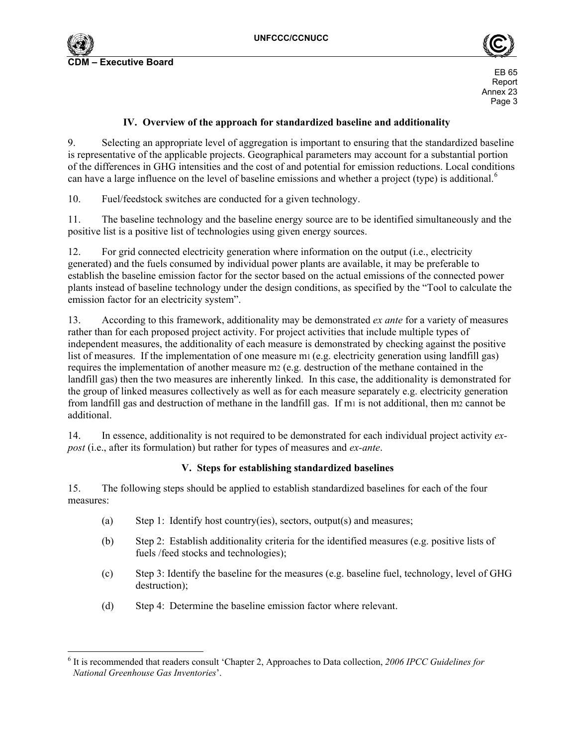



### **IV. Overview of the approach for standardized baseline and additionality**

9. Selecting an appropriate level of aggregation is important to ensuring that the standardized baseline is representative of the applicable projects. Geographical parameters may account for a substantial portion of the differences in GHG intensities and the cost of and potential for emission reductions. Local conditions can have a large influence on the level of baseline emissions and whether a project (type) is additional.<sup>[6](#page-2-0)</sup>

10. Fuel/feedstock switches are conducted for a given technology.

11. The baseline technology and the baseline energy source are to be identified simultaneously and the positive list is a positive list of technologies using given energy sources.

12. For grid connected electricity generation where information on the output (i.e., electricity generated) and the fuels consumed by individual power plants are available, it may be preferable to establish the baseline emission factor for the sector based on the actual emissions of the connected power plants instead of baseline technology under the design conditions, as specified by the "Tool to calculate the emission factor for an electricity system".

13. According to this framework, additionality may be demonstrated *ex ante* for a variety of measures rather than for each proposed project activity. For project activities that include multiple types of independent measures, the additionality of each measure is demonstrated by checking against the positive list of measures. If the implementation of one measure m1 (e.g. electricity generation using landfill gas) requires the implementation of another measure m2 (e.g. destruction of the methane contained in the landfill gas) then the two measures are inherently linked. In this case, the additionality is demonstrated for the group of linked measures collectively as well as for each measure separately e.g. electricity generation from landfill gas and destruction of methane in the landfill gas. If m<sub>1</sub> is not additional, then m<sub>2</sub> cannot be additional.

14. In essence, additionality is not required to be demonstrated for each individual project activity *expost* (i.e., after its formulation) but rather for types of measures and *ex-ante*.

### **V. Steps for establishing standardized baselines**

15. The following steps should be applied to establish standardized baselines for each of the four measures:

- (a) Step 1: Identify host country(ies), sectors, output(s) and measures;
- (b) Step 2: Establish additionality criteria for the identified measures (e.g. positive lists of fuels /feed stocks and technologies);
- (c) Step 3: Identify the baseline for the measures (e.g. baseline fuel, technology, level of GHG destruction);
- (d) Step 4: Determine the baseline emission factor where relevant.

<span id="page-2-0"></span><sup>1</sup> <sup>6</sup> It is recommended that readers consult 'Chapter 2, Approaches to Data collection, 2006 IPCC Guidelines for *National Greenhouse Gas Inventories*<sup>*'.*</sup>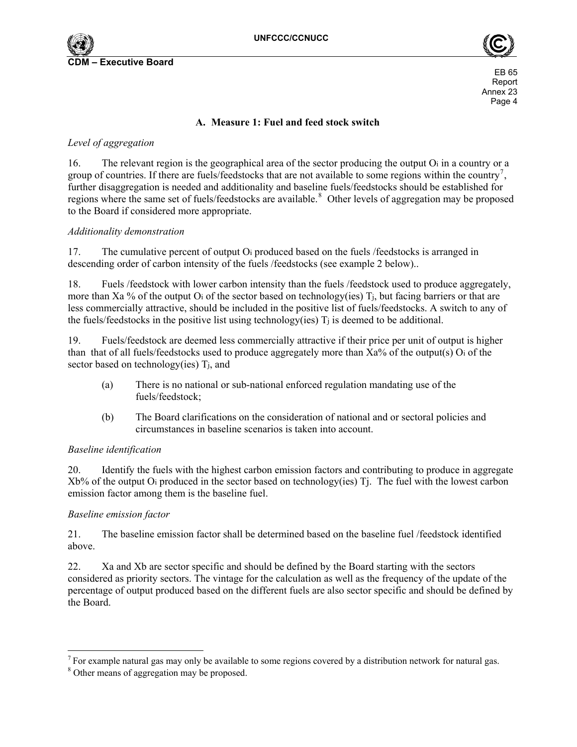



### **A. Measure 1: Fuel and feed stock switch**

## *Level of aggregation*

16. The relevant region is the geographical area of the sector producing the output Oi in a country or a group of countries. If there are fuels/feedstocks that are not available to some regions within the country<sup>[7](#page-3-0)</sup>, further disaggregation is needed and additionality and baseline fuels/feedstocks should be established for regions where the same set of fuels/feedstocks are available.<sup>[8](#page-3-1)</sup> Other levels of aggregation may be proposed to the Board if considered more appropriate.

### *Additionality demonstration*

17. The cumulative percent of output Oi produced based on the fuels /feedstocks is arranged in descending order of carbon intensity of the fuels /feedstocks (see example 2 below)..

18. Fuels /feedstock with lower carbon intensity than the fuels /feedstock used to produce aggregately, more than Xa % of the output O<sub>i</sub> of the sector based on technology(ies) T<sub>i</sub>, but facing barriers or that are less commercially attractive, should be included in the positive list of fuels/feedstocks. A switch to any of the fuels/feedstocks in the positive list using technology(ies)  $T_i$  is deemed to be additional.

19. Fuels/feedstock are deemed less commercially attractive if their price per unit of output is higher than that of all fuels/feedstocks used to produce aggregately more than Xa% of the output(s) Oi of the sector based on technology(ies) T<sub>i</sub>, and

- (a) There is no national or sub-national enforced regulation mandating use of the fuels/feedstock;
- (b) The Board clarifications on the consideration of national and or sectoral policies and circumstances in baseline scenarios is taken into account.

### *Baseline identification*

20. Identify the fuels with the highest carbon emission factors and contributing to produce in aggregate Xb% of the output Oi produced in the sector based on technology(ies) Tj. The fuel with the lowest carbon emission factor among them is the baseline fuel.

### *Baseline emission factor*

l

21. The baseline emission factor shall be determined based on the baseline fuel /feedstock identified above.

22. Xa and Xb are sector specific and should be defined by the Board starting with the sectors considered as priority sectors. The vintage for the calculation as well as the frequency of the update of the percentage of output produced based on the different fuels are also sector specific and should be defined by the Board.

<span id="page-3-0"></span><sup>&</sup>lt;sup>7</sup> For example natural gas may only be available to some regions covered by a distribution network for natural gas.

<span id="page-3-1"></span><sup>&</sup>lt;sup>8</sup> Other means of aggregation may be proposed.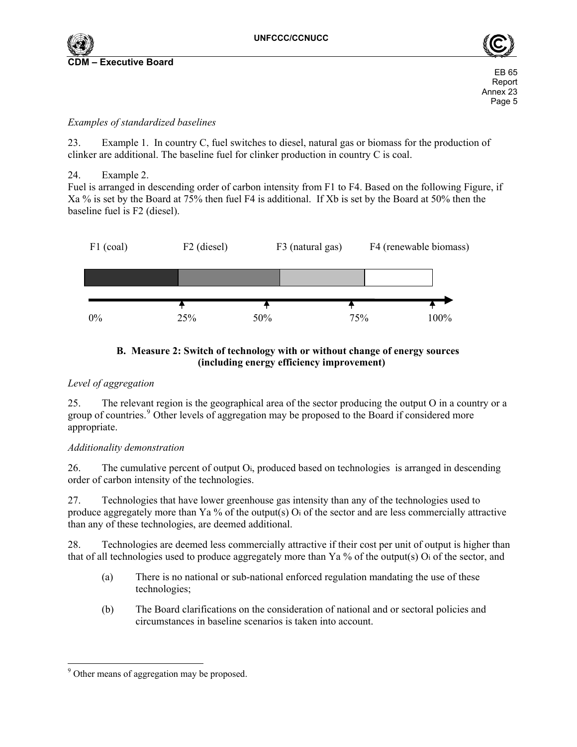



## *Examples of standardized baselines*

23. Example 1. In country C, fuel switches to diesel, natural gas or biomass for the production of clinker are additional. The baseline fuel for clinker production in country C is coal.

24. Example 2.

Fuel is arranged in descending order of carbon intensity from F1 to F4. Based on the following Figure, if Xa % is set by the Board at 75% then fuel F4 is additional. If Xb is set by the Board at 50% then the baseline fuel is F2 (diesel).



# **B. Measure 2: Switch of technology with or without change of energy sources (including energy efficiency improvement)**

## *Level of aggregation*

25. The relevant region is the geographical area of the sector producing the output O in a country or a group of countries.<sup>[9](#page-4-0)</sup> Other levels of aggregation may be proposed to the Board if considered more appropriate.

## *Additionality demonstration*

26. The cumulative percent of output Oi, produced based on technologies is arranged in descending order of carbon intensity of the technologies.

27. Technologies that have lower greenhouse gas intensity than any of the technologies used to produce aggregately more than Ya % of the output(s) Oi of the sector and are less commercially attractive than any of these technologies, are deemed additional.

28. Technologies are deemed less commercially attractive if their cost per unit of output is higher than that of all technologies used to produce aggregately more than Ya % of the output(s) Oi of the sector, and

- (a) There is no national or sub-national enforced regulation mandating the use of these technologies;
- (b) The Board clarifications on the consideration of national and or sectoral policies and circumstances in baseline scenarios is taken into account.

<span id="page-4-0"></span>l <sup>9</sup> Other means of aggregation may be proposed.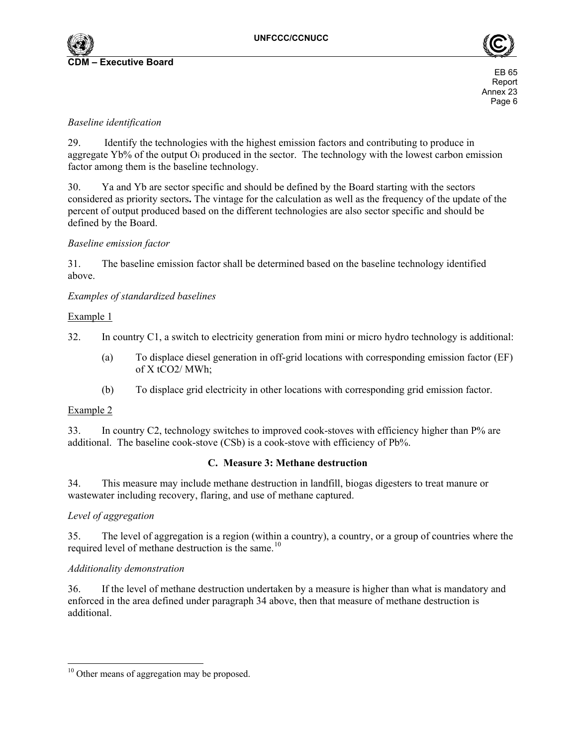



## *Baseline identification*

29. Identify the technologies with the highest emission factors and contributing to produce in aggregate Yb% of the output Oi produced in the sector. The technology with the lowest carbon emission factor among them is the baseline technology.

30. Ya and Yb are sector specific and should be defined by the Board starting with the sectors considered as priority sectors**.** The vintage for the calculation as well as the frequency of the update of the percent of output produced based on the different technologies are also sector specific and should be defined by the Board.

### *Baseline emission factor*

31. The baseline emission factor shall be determined based on the baseline technology identified above.

*Examples of standardized baselines* 

### Example 1

32. In country C1, a switch to electricity generation from mini or micro hydro technology is additional:

- (a) To displace diesel generation in off-grid locations with corresponding emission factor (EF) of X tCO2/ MWh;
- (b) To displace grid electricity in other locations with corresponding grid emission factor.

### Example 2

33. In country C2, technology switches to improved cook-stoves with efficiency higher than P% are additional. The baseline cook-stove (CSb) is a cook-stove with efficiency of Pb%.

### **C. Measure 3: Methane destruction**

34. This measure may include methane destruction in landfill, biogas digesters to treat manure or wastewater including recovery, flaring, and use of methane captured.

### *Level of aggregation*

35. The level of aggregation is a region (within a country), a country, or a group of countries where the required level of methane destruction is the same.<sup>[10](#page-5-0)</sup>

### *Additionality demonstration*

36. If the level of methane destruction undertaken by a measure is higher than what is mandatory and enforced in the area defined under paragraph 34 above, then that measure of methane destruction is additional.

<span id="page-5-0"></span><sup>1</sup> <sup>10</sup> Other means of aggregation may be proposed.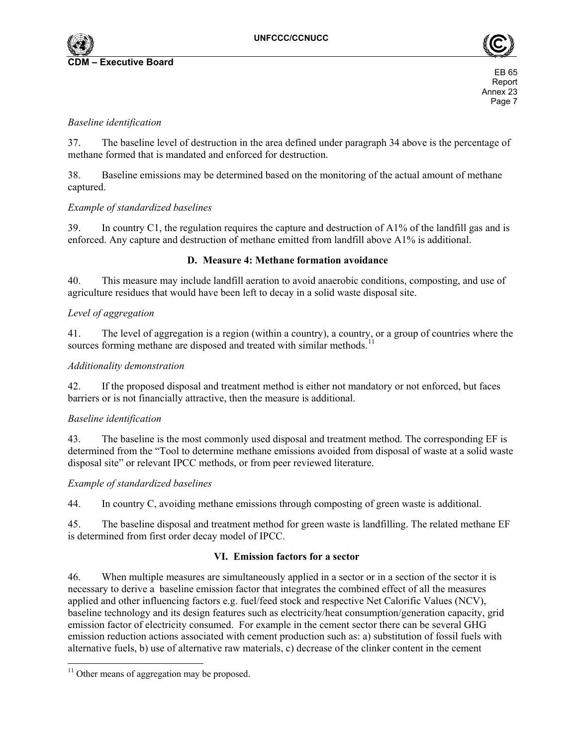



### *Baseline identification*

37. The baseline level of destruction in the area defined under paragraph 34 above is the percentage of methane formed that is mandated and enforced for destruction.

38. Baseline emissions may be determined based on the monitoring of the actual amount of methane captured.

### *Example of standardized baselines*

39. In country C1, the regulation requires the capture and destruction of A1% of the landfill gas and is enforced. Any capture and destruction of methane emitted from landfill above A1% is additional.

### **D. Measure 4: Methane formation avoidance**

40. This measure may include landfill aeration to avoid anaerobic conditions, composting, and use of agriculture residues that would have been left to decay in a solid waste disposal site.

### *Level of aggregation*

41. The level of aggregation is a region (within a country), a country, or a group of countries where the sources forming methane are disposed and treated with similar methods.

### *Additionality demonstration*

42. If the proposed disposal and treatment method is either not mandatory or not enforced, but faces barriers or is not financially attractive, then the measure is additional.

### *Baseline identification*

43. The baseline is the most commonly used disposal and treatment method. The corresponding EF is determined from the "Tool to determine methane emissions avoided from disposal of waste at a solid waste disposal site" or relevant IPCC methods, or from peer reviewed literature.

### *Example of standardized baselines*

44. In country C, avoiding methane emissions through composting of green waste is additional.

45. The baseline disposal and treatment method for green waste is landfilling. The related methane EF is determined from first order decay model of IPCC.

### **VI. Emission factors for a sector**

46. When multiple measures are simultaneously applied in a sector or in a section of the sector it is necessary to derive a baseline emission factor that integrates the combined effect of all the measures applied and other influencing factors e.g. fuel/feed stock and respective Net Calorific Values (NCV), baseline technology and its design features such as electricity/heat consumption/generation capacity, grid emission factor of electricity consumed. For example in the cement sector there can be several GHG emission reduction actions associated with cement production such as: a) substitution of fossil fuels with alternative fuels, b) use of alternative raw materials, c) decrease of the clinker content in the cement

l

<span id="page-6-0"></span><sup>&</sup>lt;sup>11</sup> Other means of aggregation may be proposed.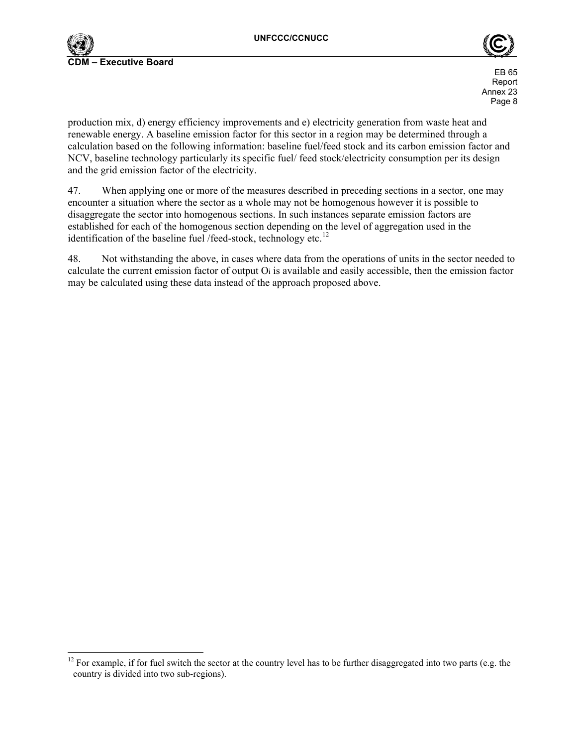

l



**Report** of the contract of the contract of the contract of the contract of the contract of the contract of the contract of the contract of the contract of the contract of the contract of the contract of the contract of th Annex 23 Page 8

production mix, d) energy efficiency improvements and e) electricity generation from waste heat and renewable energy. A baseline emission factor for this sector in a region may be determined through a calculation based on the following information: baseline fuel/feed stock and its carbon emission factor and NCV, baseline technology particularly its specific fuel/ feed stock/electricity consumption per its design and the grid emission factor of the electricity.

47. When applying one or more of the measures described in preceding sections in a sector, one may encounter a situation where the sector as a whole may not be homogenous however it is possible to disaggregate the sector into homogenous sections. In such instances separate emission factors are established for each of the homogenous section depending on the level of aggregation used in the identification of the baseline fuel /feed-stock, technology etc. $^{12}$  $^{12}$  $^{12}$ 

48. Not withstanding the above, in cases where data from the operations of units in the sector needed to calculate the current emission factor of output Oi is available and easily accessible, then the emission factor may be calculated using these data instead of the approach proposed above.

<span id="page-7-0"></span> $12$  For example, if for fuel switch the sector at the country level has to be further disaggregated into two parts (e.g. the country is divided into two sub-regions).